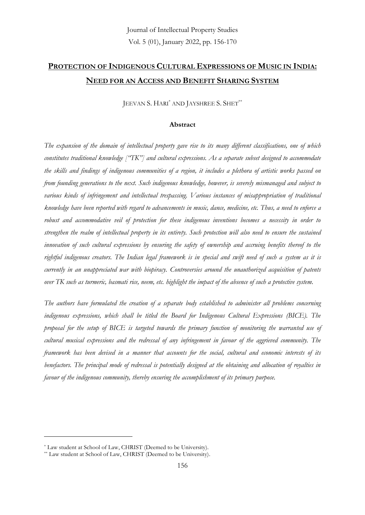# **PROTECTION OF INDIGENOUS CULTURAL EXPRESSIONS OF MUSIC IN INDIA: NEED FOR AN ACCESS AND BENEFIT SHARING SYSTEM**

JEEVAN S. HARI<sup>\*</sup> AND JAYSHREE S. SHET<sup>\*\*</sup>

#### **Abstract**

*The expansion of the domain of intellectual property gave rise to its many different classifications, one of which constitutes traditional knowledge ["TK"] and cultural expressions. As a separate subset designed to accommodate the skills and findings of indigenous communities of a region, it includes a plethora of artistic works passed on from founding generations to the next. Such indigenous knowledge, however, is severely mismanaged and subject to various kinds of infringement and intellectual trespassing. Various instances of misappropriation of traditional knowledge have been reported with regard to advancements in music, dance, medicine, etc. Thus, a need to enforce a robust and accommodative veil of protection for these indigenous inventions becomes a necessity in order to strengthen the realm of intellectual property in its entirety. Such protection will also need to ensure the sustained innovation of such cultural expressions by ensuring the safety of ownership and accruing benefits thereof to the rightful indigenous creators. The Indian legal framework is in special and swift need of such a system as it is currently in an unappreciated war with biopiracy. Controversies around the unauthorized acquisition of patents over TK such as turmeric, basmati rice, neem, etc. highlight the impact of the absence of such a protective system.* 

*The authors have formulated the creation of a separate body established to administer all problems concerning indigenous expressions, which shall be titled the Board for Indigenous Cultural Expressions (BICE). The proposal for the setup of BICE is targeted towards the primary function of monitoring the warranted use of cultural musical expressions and the redressal of any infringement in favour of the aggrieved community. The framework has been devised in a manner that accounts for the social, cultural and economic interests of its benefactors. The principal mode of redressal is potentially designed at the obtaining and allocation of royalties in favour of the indigenous community, thereby ensuring the accomplishment of its primary purpose.*

<sup>\*</sup> Law student at School of Law, CHRIST (Deemed to be University).

<sup>\*\*</sup> Law student at School of Law, CHRIST (Deemed to be University).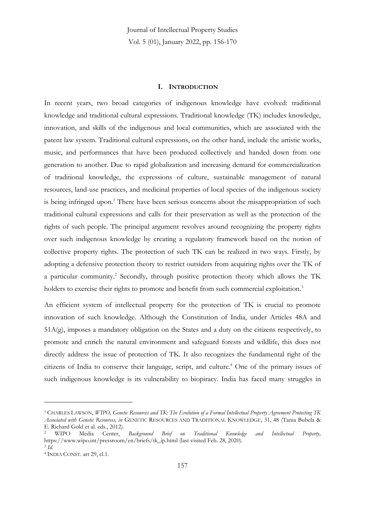#### **I. INTRODUCTION**

In recent years, two broad categories of indigenous knowledge have evolved: traditional knowledge and traditional cultural expressions. Traditional knowledge (TK) includes knowledge, innovation, and skills of the indigenous and local communities, which are associated with the patent law system. Traditional cultural expressions, on the other hand, include the artistic works, music, and performances that have been produced collectively and handed down from one generation to another. Due to rapid globalization and increasing demand for commercialization of traditional knowledge, the expressions of culture, sustainable management of natural resources, land-use practices, and medicinal properties of local species of the indigenous society is being infringed upon.<sup>1</sup> There have been serious concerns about the misappropriation of such traditional cultural expressions and calls for their preservation as well as the protection of the rights of such people. The principal argument revolves around recognizing the property rights over such indigenous knowledge by creating a regulatory framework based on the notion of collective property rights. The protection of such TK can be realized in two ways. Firstly, by adopting a defensive protection theory to restrict outsiders from acquiring rights over the TK of a particular community.<sup>2</sup> Secondly, through positive protection theory which allows the TK holders to exercise their rights to promote and benefit from such commercial exploitation.<sup>3</sup>

An efficient system of intellectual property for the protection of TK is crucial to promote innovation of such knowledge. Although the Constitution of India, under Articles 48A and  $51A(g)$ , imposes a mandatory obligation on the States and a duty on the citizens respectively, to promote and enrich the natural environment and safeguard forests and wildlife, this does not directly address the issue of protection of TK. It also recognizes the fundamental right of the citizens of India to conserve their language, script, and culture.<sup>4</sup> One of the primary issues of such indigenous knowledge is its vulnerability to biopiracy. India has faced many struggles in

<sup>1</sup> CHARLES LAWSON, *WIPO, Genetic Resources and TK: The Evolution of a Formal Intellectual Property Agreement Protecting TK Associated with Genetic Resources, in* GENETIC RESOURCES AND TRADITIONAL KNOWLEDGE, 31, 48 (Tania Bubela & E. Richard Gold et al. eds., 2012).

<sup>2</sup> WIPO Media Center, *Background Brief on Traditional Knowledge and Intellectual Property,*  https://www.wipo.int/pressroom/en/briefs/tk\_ip.html (last visited Feb. 28, 2020). 3 *Id.*

<sup>4</sup> INDIA CONST. art 29, cl.1.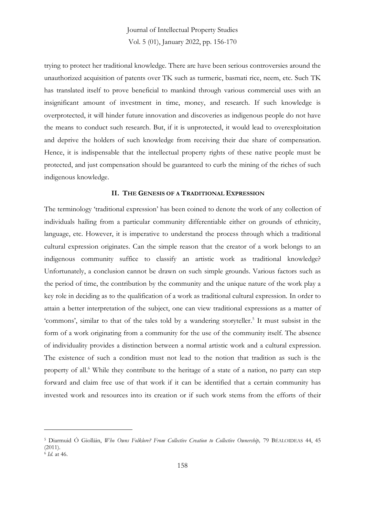trying to protect her traditional knowledge. There are have been serious controversies around the unauthorized acquisition of patents over TK such as turmeric, basmati rice, neem, etc. Such TK has translated itself to prove beneficial to mankind through various commercial uses with an insignificant amount of investment in time, money, and research. If such knowledge is overprotected, it will hinder future innovation and discoveries as indigenous people do not have the means to conduct such research. But, if it is unprotected, it would lead to overexploitation and deprive the holders of such knowledge from receiving their due share of compensation. Hence, it is indispensable that the intellectual property rights of these native people must be protected, and just compensation should be guaranteed to curb the mining of the riches of such indigenous knowledge.

#### **II. THE GENESIS OF A TRADITIONAL EXPRESSION**

The terminology 'traditional expression' has been coined to denote the work of any collection of individuals hailing from a particular community differentiable either on grounds of ethnicity, language, etc. However, it is imperative to understand the process through which a traditional cultural expression originates. Can the simple reason that the creator of a work belongs to an indigenous community suffice to classify an artistic work as traditional knowledge? Unfortunately, a conclusion cannot be drawn on such simple grounds. Various factors such as the period of time, the contribution by the community and the unique nature of the work play a key role in deciding as to the qualification of a work as traditional cultural expression. In order to attain a better interpretation of the subject, one can view traditional expressions as a matter of 'commons', similar to that of the tales told by a wandering storyteller. 5 It must subsist in the form of a work originating from a community for the use of the community itself. The absence of individuality provides a distinction between a normal artistic work and a cultural expression. The existence of such a condition must not lead to the notion that tradition as such is the property of all.<sup>6</sup> While they contribute to the heritage of a state of a nation, no party can step forward and claim free use of that work if it can be identified that a certain community has invested work and resources into its creation or if such work stems from the efforts of their

<sup>5</sup> Diarmuid Ó Giolláin, *Who Owns Folklore? From Collective Creation to Collective Ownership,* 79 BÉALOIDEAS 44, 45 (2011).

<sup>6</sup> *Id*. at 46.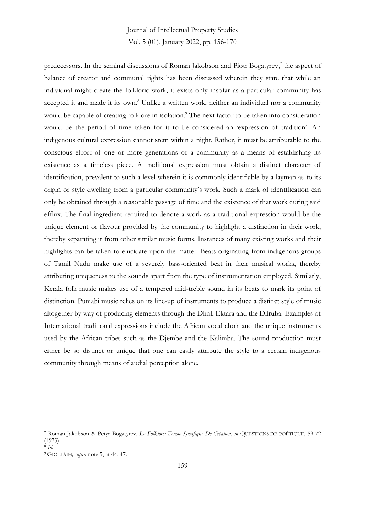predecessors. In the seminal discussions of Roman Jakobson and Piotr Bogatyrev,<sup>7</sup> the aspect of balance of creator and communal rights has been discussed wherein they state that while an individual might create the folkloric work, it exists only insofar as a particular community has accepted it and made it its own. <sup>8</sup> Unlike a written work, neither an individual nor a community would be capable of creating folklore in isolation. <sup>9</sup> The next factor to be taken into consideration would be the period of time taken for it to be considered an 'expression of tradition'. An indigenous cultural expression cannot stem within a night. Rather, it must be attributable to the conscious effort of one or more generations of a community as a means of establishing its existence as a timeless piece. A traditional expression must obtain a distinct character of identification, prevalent to such a level wherein it is commonly identifiable by a layman as to its origin or style dwelling from a particular community's work. Such a mark of identification can only be obtained through a reasonable passage of time and the existence of that work during said efflux. The final ingredient required to denote a work as a traditional expression would be the unique element or flavour provided by the community to highlight a distinction in their work, thereby separating it from other similar music forms. Instances of many existing works and their highlights can be taken to elucidate upon the matter. Beats originating from indigenous groups of Tamil Nadu make use of a severely bass-oriented beat in their musical works, thereby attributing uniqueness to the sounds apart from the type of instrumentation employed. Similarly, Kerala folk music makes use of a tempered mid-treble sound in its beats to mark its point of distinction. Punjabi music relies on its line-up of instruments to produce a distinct style of music altogether by way of producing elements through the Dhol, Ektara and the Dilruba. Examples of International traditional expressions include the African vocal choir and the unique instruments used by the African tribes such as the Djembe and the Kalimba. The sound production must either be so distinct or unique that one can easily attribute the style to a certain indigenous community through means of audial perception alone.

<sup>7</sup> Roman Jakobson & Petyr Bogatyrev, *Le Folklore: Forme Spécifique De Création*, *in* QUESTIONS DE POÉTIQUE, 59-72 (1973).

<sup>8</sup> *Id.*

<sup>9</sup> GIOLLÁIN*, supra* note 5, at 44, 47.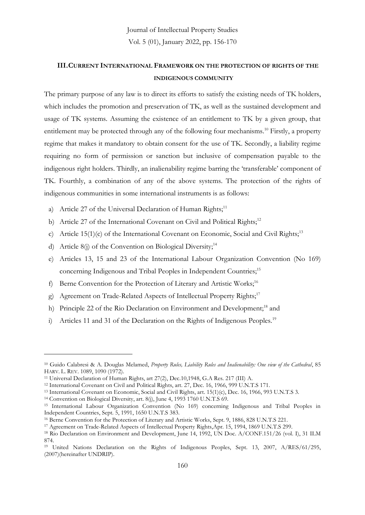#### **III.CURRENT INTERNATIONAL FRAMEWORK ON THE PROTECTION OF RIGHTS OF THE INDIGENOUS COMMUNITY**

The primary purpose of any law is to direct its efforts to satisfy the existing needs of TK holders, which includes the promotion and preservation of TK, as well as the sustained development and usage of TK systems. Assuming the existence of an entitlement to TK by a given group, that entitlement may be protected through any of the following four mechanisms.<sup>10</sup> Firstly, a property regime that makes it mandatory to obtain consent for the use of TK. Secondly, a liability regime requiring no form of permission or sanction but inclusive of compensation payable to the indigenous right holders. Thirdly, an inalienability regime barring the 'transferable' component of TK. Fourthly, a combination of any of the above systems. The protection of the rights of indigenous communities in some international instruments is as follows:

- a) Article 27 of the Universal Declaration of Human Rights;<sup>11</sup>
- b) Article 27 of the International Covenant on Civil and Political Rights;<sup>12</sup>
- c) Article 15(1)(c) of the International Covenant on Economic, Social and Civil Rights;<sup>13</sup>
- d) Article 8(j) of the Convention on Biological Diversity;<sup>14</sup>
- e) Articles 13, 15 and 23 of the International Labour Organization Convention (No 169) concerning Indigenous and Tribal Peoples in Independent Countries;<sup>15</sup>
- f) Berne Convention for the Protection of Literary and Artistic Works;<sup>16</sup>
- g) Agreement on Trade-Related Aspects of Intellectual Property Rights;<sup>17</sup>
- h) Principle 22 of the Rio Declaration on Environment and Development;<sup>18</sup> and
- i) Articles 11 and 31 of the Declaration on the Rights of Indigenous Peoples.<sup>19</sup>

<sup>10</sup> Guido Calabresi & A. Douglas Melamed, *Property Rules, Liability Rules and Inalienability: One view of the Cathedral*, 85 HARV. L. REV. 1089, 1090 (1972).

<sup>11</sup> Universal Declaration of Human Rights, art 27(2), Dec.10,1948, G.A Res. 217 (III) A.

<sup>&</sup>lt;sup>12</sup> International Covenant on Civil and Political Rights, art. 27, Dec. 16, 1966, 999 U.N.T.S 171.

<sup>13</sup> International Covenant on Economic, Social and Civil Rights, art. 15(1)(c), Dec. 16, 1966, 993 U.N.T.S 3.

<sup>14</sup> Convention on Biological Diversity, art. 8(j), June 4, 1993 1760 U.N.T.S 69.

<sup>15</sup> International Labour Organization Convention (No 169) concerning Indigenous and Tribal Peoples in Independent Countries, Sept. 5, 1991, 1650 U.N.T.S 383.

<sup>16</sup> Berne Convention for the Protection of Literary and Artistic Works, Sept. 9, 1886, 828 U.N.T.S 221.

<sup>17</sup> Agreement on Trade-Related Aspects of Intellectual Property Rights,Apr. 15, 1994, 1869 U.N.T.S 299.

<sup>18</sup> Rio Declaration on Environment and Development, June 14, 1992, UN Doc. A/CONF.151/26 (vol. I), 31 ILM 874.

<sup>19</sup> United Nations Declaration on the Rights of Indigenous Peoples, Sept. 13, 2007, A/RES/61/295, (2007)(hereinafter UNDRIP).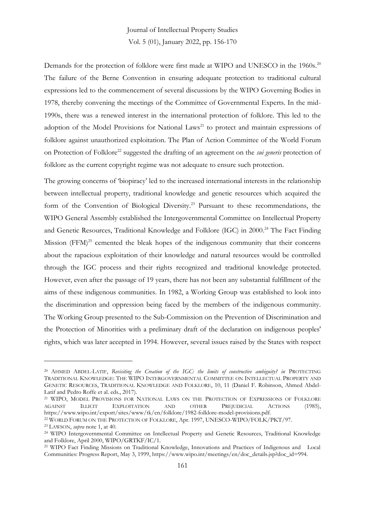Demands for the protection of folklore were first made at WIPO and UNESCO in the 1960s.<sup>20</sup> The failure of the Berne Convention in ensuring adequate protection to traditional cultural expressions led to the commencement of several discussions by the WIPO Governing Bodies in 1978, thereby convening the meetings of the Committee of Governmental Experts. In the mid-1990s, there was a renewed interest in the international protection of folklore. This led to the adoption of the Model Provisions for National Laws<sup>21</sup> to protect and maintain expressions of folklore against unauthorized exploitation. The Plan of Action Committee of the World Forum on Protection of Folklore<sup>22</sup> suggested the drafting of an agreement on the *sui generis* protection of folklore as the current copyright regime was not adequate to ensure such protection.

The growing concerns of 'biopiracy' led to the increased international interests in the relationship between intellectual property, traditional knowledge and genetic resources which acquired the form of the Convention of Biological Diversity.<sup>23</sup> Pursuant to these recommendations, the WIPO General Assembly established the Intergovernmental Committee on Intellectual Property and Genetic Resources, Traditional Knowledge and Folklore (IGC) in 2000. <sup>24</sup> The Fact Finding Mission  $(FFM)^{25}$  cemented the bleak hopes of the indigenous community that their concerns about the rapacious exploitation of their knowledge and natural resources would be controlled through the IGC process and their rights recognized and traditional knowledge protected. However, even after the passage of 19 years, there has not been any substantial fulfillment of the aims of these indigenous communities. In 1982, a Working Group was established to look into the discrimination and oppression being faced by the members of the indigenous community. The Working Group presented to the Sub-Commission on the Prevention of Discrimination and the Protection of Minorities with a preliminary draft of the declaration on indigenous peoples' rights, which was later accepted in 1994. However, several issues raised by the States with respect

<sup>&</sup>lt;sup>20</sup> AHMED ABDEL-LATIF, *Revisiting the Creation of the IGC: the limits of constructive ambiguity? in PROTECTING* TRADITIONAL KNOWLEDGE: THE WIPO INTERGOVERNMENTAL COMMITTEE ON INTELLECTUAL PROPERTY AND GENETIC RESOURCES, TRADITIONAL KNOWLEDGE AND FOLKLORE, 10, 11 (Daniel F. Robinson, Ahmed Abdel-Latif and Pedro Roffe et al. eds., 2017).

<sup>&</sup>lt;sup>21</sup> WIPO, MODEL PROVISIONS FOR NATIONAL LAWS ON THE PROTECTION OF EXPRESSIONS OF FOLKLORE AGAINST ILLICIT EXPLOITATION AND OTHER PREJUDICIAL ACTIONS (1985), https://www.wipo.int/export/sites/www/tk/en/folklore/1982-folklore-model-provisions.pdf.

<sup>22</sup> WORLD FORUM ON THE PROTECTION OF FOLKLORE, Apr. 1997, UNESCO-WIPO/FOLK/PKT/97.

<sup>23</sup> LAWSON, *supra* note 1, at 40.

<sup>24</sup> WIPO Intergovernmental Committee on Intellectual Property and Genetic Resources, Traditional Knowledge and Folklore, April 2000, WIPO/GRTKF/IC/1.

<sup>25</sup> WIPO Fact Finding Missions on Traditional Knowledge, Innovations and Practices of Indigenous and Local Communities: Progress Report, May 3, 1999, https://www.wipo.int/meetings/en/doc\_details.jsp?doc\_id=994.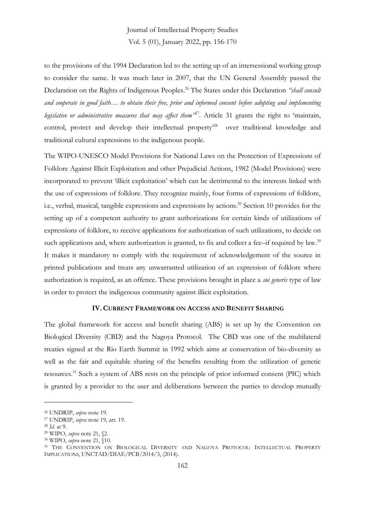to the provisions of the 1994 Declaration led to the setting up of an intersessional working group to consider the same. It was much later in 2007, that the UN General Assembly passed the Declaration on the Rights of Indigenous Peoples. <sup>26</sup> The States under this Declaration *"shall consult and cooperate in good faith… to obtain their free, prior and informed consent before adopting and implementing legislative or administrative measures that may affect them"*<sup>27</sup> . Article 31 grants the right to 'maintain, control, protect and develop their intellectual property<sup>28</sup> over traditional knowledge and traditional cultural expressions to the indigenous people.

The WIPO-UNESCO Model Provisions for National Laws on the Protection of Expressions of Folklore Against Illicit Exploitation and other Prejudicial Actions, 1982 (Model Provisions) were incorporated to prevent 'illicit exploitation' which can be detrimental to the interests linked with the use of expressions of folklore. They recognize mainly, four forms of expressions of folklore, i.e., verbal, musical, tangible expressions and expressions by actions.<sup>29</sup> Section 10 provides for the setting up of a competent authority to grant authorizations for certain kinds of utilizations of expressions of folklore, to receive applications for authorization of such utilizations, to decide on such applications and, where authorization is granted, to fix and collect a fee–if required by law.<sup>30</sup> It makes it mandatory to comply with the requirement of acknowledgement of the source in printed publications and treats any unwarranted utilization of an expression of folklore where authorization is required, as an offence. These provisions brought in place a *sui generis* type of law in order to protect the indigenous community against illicit exploitation.

#### **IV. CURRENT FRAMEWORK ON ACCESS AND BENEFIT SHARING**

The global framework for access and benefit sharing (ABS) is set up by the Convention on Biological Diversity (CBD) and the Nagoya Protocol. The CBD was one of the multilateral treaties signed at the Rio Earth Summit in 1992 which aims at conservation of bio-diversity as well as the fair and equitable sharing of the benefits resulting from the utilization of genetic resources.<sup>31</sup> Such a system of ABS rests on the principle of prior informed consent (PIC) which is granted by a provider to the user and deliberations between the parties to develop mutually

<sup>26</sup> UNDRIP, *supra* note 19.

<sup>27</sup> UNDRIP, *supra* note 19, art. 19.

<sup>28</sup> *Id.* at 9.

<sup>29</sup> WIPO, *supra* note 21, §2.

<sup>30</sup> WIPO, *supra* note 21, §10.

<sup>31</sup> THE CONVENTION ON BIOLOGICAL DIVERSITY AND NAGOYA PROTOCOL: INTELLECTUAL PROPERTY IMPLICATIONS, UNCTAD/DIAE/PCB/2014/3, (2014).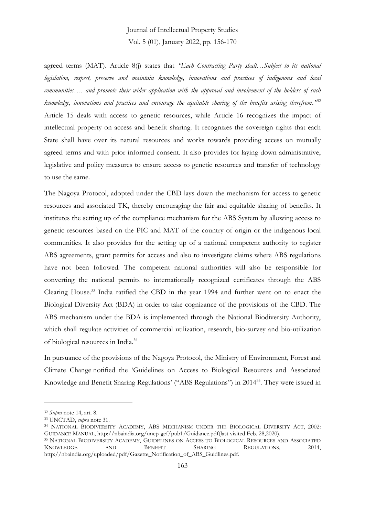agreed terms (MAT). Article 8(j) states that *"Each Contracting Party shall…Subject to its national legislation, respect, preserve and maintain knowledge, innovations and practices of indigenous and local communities…. and promote their wider application with the approval and involvement of the holders of such knowledge, innovations and practices and encourage the equitable sharing of the benefits arising therefrom."*<sup>32</sup> Article 15 deals with access to genetic resources, while Article 16 recognizes the impact of intellectual property on access and benefit sharing. It recognizes the sovereign rights that each State shall have over its natural resources and works towards providing access on mutually agreed terms and with prior informed consent. It also provides for laying down administrative, legislative and policy measures to ensure access to genetic resources and transfer of technology to use the same.

The Nagoya Protocol, adopted under the CBD lays down the mechanism for access to genetic resources and associated TK, thereby encouraging the fair and equitable sharing of benefits. It institutes the setting up of the compliance mechanism for the ABS System by allowing access to genetic resources based on the PIC and MAT of the country of origin or the indigenous local communities. It also provides for the setting up of a national competent authority to register ABS agreements, grant permits for access and also to investigate claims where ABS regulations have not been followed. The competent national authorities will also be responsible for converting the national permits to internationally recognized certificates through the ABS Clearing House.<sup>33</sup> India ratified the CBD in the year 1994 and further went on to enact the Biological Diversity Act (BDA) in order to take cognizance of the provisions of the CBD. The ABS mechanism under the BDA is implemented through the National Biodiversity Authority, which shall regulate activities of commercial utilization, research, bio-survey and bio-utilization of biological resources in India.<sup>34</sup>

In pursuance of the provisions of the Nagoya Protocol, the Ministry of Environment, Forest and Climate Change notified the 'Guidelines on Access to Biological Resources and Associated Knowledge and Benefit Sharing Regulations' ("ABS Regulations") in 2014<sup>35</sup>. They were issued in

<sup>32</sup> *Supra* note 14, art. 8.

<sup>33</sup> UNCTAD, *supra* note 31.

<sup>34</sup> NATIONAL BIODIVERSITY ACADEMY, ABS MECHANISM UNDER THE BIOLOGICAL DIVERSITY ACT, 2002: GUIDANCE MANUAL, http://nbaindia.org/unep-gef/pub1/Guidance.pdf(last visited Feb. 28,2020).

<sup>35</sup> NATIONAL BIODIVERSITY ACADEMY, GUIDELINES ON ACCESS TO BIOLOGICAL RESOURCES AND ASSOCIATED KNOWLEDGE AND BENEFIT SHARING REGULATIONS, 2014, http://nbaindia.org/uploaded/pdf/Gazette\_Notification\_of\_ABS\_Guidlines.pdf.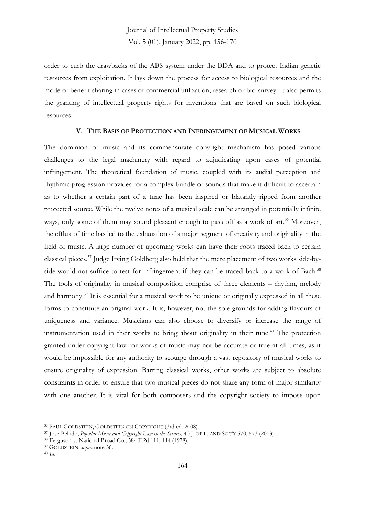order to curb the drawbacks of the ABS system under the BDA and to protect Indian genetic resources from exploitation. It lays down the process for access to biological resources and the mode of benefit sharing in cases of commercial utilization, research or bio-survey. It also permits the granting of intellectual property rights for inventions that are based on such biological resources.

#### **V. THE BASIS OF PROTECTION AND INFRINGEMENT OF MUSICAL WORKS**

The dominion of music and its commensurate copyright mechanism has posed various challenges to the legal machinery with regard to adjudicating upon cases of potential infringement. The theoretical foundation of music, coupled with its audial perception and rhythmic progression provides for a complex bundle of sounds that make it difficult to ascertain as to whether a certain part of a tune has been inspired or blatantly ripped from another protected source. While the twelve notes of a musical scale can be arranged in potentially infinite ways, only some of them may sound pleasant enough to pass off as a work of art. <sup>36</sup> Moreover, the efflux of time has led to the exhaustion of a major segment of creativity and originality in the field of music. A large number of upcoming works can have their roots traced back to certain classical pieces. <sup>37</sup> Judge Irving Goldberg also held that the mere placement of two works side-byside would not suffice to test for infringement if they can be traced back to a work of Bach.<sup>38</sup> The tools of originality in musical composition comprise of three elements – rhythm, melody and harmony. <sup>39</sup> It is essential for a musical work to be unique or originally expressed in all these forms to constitute an original work. It is, however, not the sole grounds for adding flavours of uniqueness and variance. Musicians can also choose to diversify or increase the range of instrumentation used in their works to bring about originality in their tune. <sup>40</sup> The protection granted under copyright law for works of music may not be accurate or true at all times, as it would be impossible for any authority to scourge through a vast repository of musical works to ensure originality of expression. Barring classical works, other works are subject to absolute constraints in order to ensure that two musical pieces do not share any form of major similarity with one another. It is vital for both composers and the copyright society to impose upon

<sup>36</sup> PAUL GOLDSTEIN, GOLDSTEIN ON COPYRIGHT (3rd ed. 2008).

<sup>37</sup> Jose Bellido, *Popular Music and Copyright Law in the Sixties*, 40 J. OF L. AND SOC'Y 570, 573 (2013).

<sup>38</sup> Ferguson v. National Broad Co., 584 F.2d 111, 114 (1978).

<sup>39</sup> GOLDSTEIN, *supra* note 36.

<sup>40</sup> *Id.*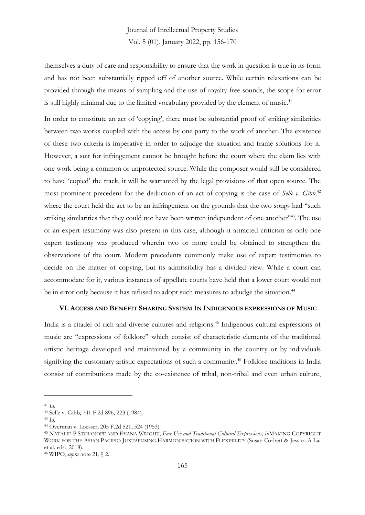themselves a duty of care and responsibility to ensure that the work in question is true in its form and has not been substantially ripped off of another source. While certain relaxations can be provided through the means of sampling and the use of royalty-free sounds, the scope for error is still highly minimal due to the limited vocabulary provided by the element of music.<sup>41</sup>

In order to constitute an act of 'copying', there must be substantial proof of striking similarities between two works coupled with the access by one party to the work of another. The existence of these two criteria is imperative in order to adjudge the situation and frame solutions for it. However, a suit for infringement cannot be brought before the court where the claim lies with one work being a common or unprotected source. While the composer would still be considered to have 'copied' the track, it will be warranted by the legal provisions of that open source. The most prominent precedent for the deduction of an act of copying is the case of *Selle v. Gibb,* 42 where the court held the act to be an infringement on the grounds that the two songs had "such striking similarities that they could not have been written independent of one another"<sup>43</sup>. The use of an expert testimony was also present in this case, although it attracted criticism as only one expert testimony was produced wherein two or more could be obtained to strengthen the observations of the court. Modern precedents commonly make use of expert testimonies to decide on the matter of copying, but its admissibility has a divided view. While a court can accommodate for it, various instances of appellate courts have held that a lower court would not be in error only because it has refused to adopt such measures to adjudge the situation.<sup>44</sup>

#### **VI. ACCESS AND BENEFIT SHARING SYSTEM IN INDIGENOUS EXPRESSIONS OF MUSIC**

India is a citadel of rich and diverse cultures and religions.<sup>45</sup> Indigenous cultural expressions of music are "expressions of folklore" which consist of characteristic elements of the traditional artistic heritage developed and maintained by a community in the country or by individuals signifying the customary artistic expectations of such a community.<sup>46</sup> Folklore traditions in India consist of contributions made by the co-existence of tribal, non-tribal and even urban culture,

<sup>41</sup> *Id.*

<sup>42</sup> Selle v. Gibb, 741 F.2d 896, 223 (1984).

<sup>43</sup> *Id*.

<sup>44</sup> Overman v. Loesser, 205 F.2d 521, 524 (1953).

<sup>45</sup> NATALIE P STOIANOFF AND EVANA WRIGHT, *Fair Use and Traditional Cultural Expressions, in*MAKING COPYRIGHT WORK FOR THE ASIAN PACIFIC: JUXTAPOSING HARMONISATION WITH FLEXIBILITY (Susan Corbett & Jessica A Lai et al. eds., 2018).

<sup>46</sup> WIPO, *supra* note 21, § 2.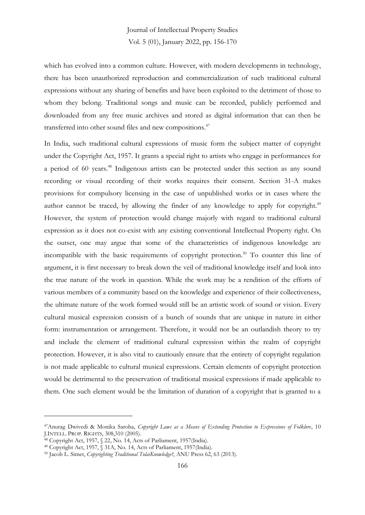which has evolved into a common culture. However, with modern developments in technology, there has been unauthorized reproduction and commercialization of such traditional cultural expressions without any sharing of benefits and have been exploited to the detriment of those to whom they belong. Traditional songs and music can be recorded, publicly performed and downloaded from any free music archives and stored as digital information that can then be transferred into other sound files and new compositions.<sup>47</sup>

In India, such traditional cultural expressions of music form the subject matter of copyright under the Copyright Act, 1957. It grants a special right to artists who engage in performances for a period of 60 years. <sup>48</sup> Indigenous artists can be protected under this section as any sound recording or visual recording of their works requires their consent. Section 31-A makes provisions for compulsory licensing in the case of unpublished works or in cases where the author cannot be traced, by allowing the finder of any knowledge to apply for copyright.<sup>49</sup> However, the system of protection would change majorly with regard to traditional cultural expression as it does not co-exist with any existing conventional Intellectual Property right. On the outset, one may argue that some of the characteristics of indigenous knowledge are incompatible with the basic requirements of copyright protection. <sup>50</sup> To counter this line of argument, it is first necessary to break down the veil of traditional knowledge itself and look into the true nature of the work in question. While the work may be a rendition of the efforts of various members of a community based on the knowledge and experience of their collectiveness, the ultimate nature of the work formed would still be an artistic work of sound or vision. Every cultural musical expression consists of a bunch of sounds that are unique in nature in either form: instrumentation or arrangement. Therefore, it would not be an outlandish theory to try and include the element of traditional cultural expression within the realm of copyright protection. However, it is also vital to cautiously ensure that the entirety of copyright regulation is not made applicable to cultural musical expressions. Certain elements of copyright protection would be detrimental to the preservation of traditional musical expressions if made applicable to them. One such element would be the limitation of duration of a copyright that is granted to a

<sup>47</sup>Anurag Dwivedi & Monika Saroha, *Copyright Laws as a Means of Extending Protection to Expressions of Folklore*, 10 J.INTELL. PROP. RIGHTS, 308,310 (2005).

<sup>48</sup> Copyright Act, 1957, § 22, No. 14, Acts of Parliament, 1957(India).

<sup>49</sup> Copyright Act, 1957, § 31A, No. 14, Acts of Parliament, 1957(India).

<sup>50</sup> Jacob L. Simet, *Copyrighting Traditional TolaiKnowledge?*, ANU Press 62, 63 (2013).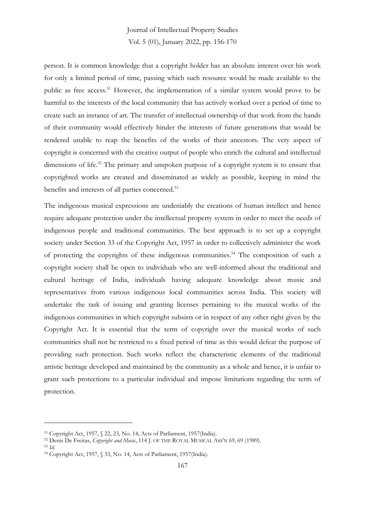person. It is common knowledge that a copyright holder has an absolute interest over his work for only a limited period of time, passing which such resource would be made available to the public as free access. <sup>51</sup> However, the implementation of a similar system would prove to be harmful to the interests of the local community that has actively worked over a period of time to create such an instance of art. The transfer of intellectual ownership of that work from the hands of their community would effectively hinder the interests of future generations that would be rendered unable to reap the benefits of the works of their ancestors. The very aspect of copyright is concerned with the creative output of people who enrich the cultural and intellectual dimensions of life.<sup>52</sup> The primary and unspoken purpose of a copyright system is to ensure that copyrighted works are created and disseminated as widely as possible, keeping in mind the benefits and interests of all parties concerned. 53

The indigenous musical expressions are undeniably the creations of human intellect and hence require adequate protection under the intellectual property system in order to meet the needs of indigenous people and traditional communities. The best approach is to set up a copyright society under Section 33 of the Copyright Act, 1957 in order to collectively administer the work of protecting the copyrights of these indigenous communities. <sup>54</sup> The composition of such a copyright society shall be open to individuals who are well-informed about the traditional and cultural heritage of India, individuals having adequate knowledge about music and representatives from various indigenous local communities across India. This society will undertake the task of issuing and granting licenses pertaining to the musical works of the indigenous communities in which copyright subsists or in respect of any other right given by the Copyright Act. It is essential that the term of copyright over the musical works of such communities shall not be restricted to a fixed period of time as this would defeat the purpose of providing such protection. Such works reflect the characteristic elements of the traditional artistic heritage developed and maintained by the community as a whole and hence, it is unfair to grant such protections to a particular individual and impose limitations regarding the term of protection.

<sup>51</sup> Copyright Act, 1957, § 22, 23, No. 14, Acts of Parliament, 1957(India).

<sup>52</sup> Denis De Freitas, *Copyright and Music*, 114 J. OF THE ROYAL MUSICAL ASS'N 69, 69 (1989). <sup>53</sup> *Id.*

<sup>54</sup> Copyright Act, 1957, § 33, No. 14, Acts of Parliament, 1957(India).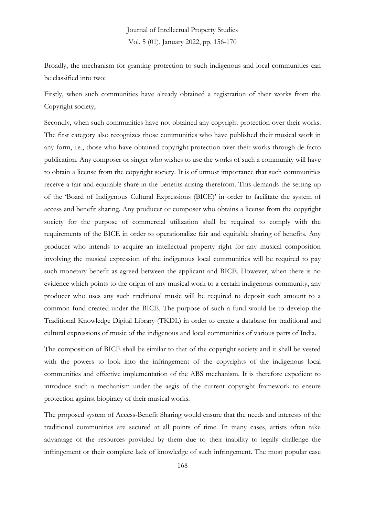Broadly, the mechanism for granting protection to such indigenous and local communities can be classified into two:

Firstly, when such communities have already obtained a registration of their works from the Copyright society;

Secondly, when such communities have not obtained any copyright protection over their works. The first category also recognizes those communities who have published their musical work in any form, i.e., those who have obtained copyright protection over their works through de-facto publication. Any composer or singer who wishes to use the works of such a community will have to obtain a license from the copyright society. It is of utmost importance that such communities receive a fair and equitable share in the benefits arising therefrom. This demands the setting up of the 'Board of Indigenous Cultural Expressions (BICE)' in order to facilitate the system of access and benefit sharing. Any producer or composer who obtains a license from the copyright society for the purpose of commercial utilization shall be required to comply with the requirements of the BICE in order to operationalize fair and equitable sharing of benefits. Any producer who intends to acquire an intellectual property right for any musical composition involving the musical expression of the indigenous local communities will be required to pay such monetary benefit as agreed between the applicant and BICE. However, when there is no evidence which points to the origin of any musical work to a certain indigenous community, any producer who uses any such traditional music will be required to deposit such amount to a common fund created under the BICE. The purpose of such a fund would be to develop the Traditional Knowledge Digital Library (TKDL) in order to create a database for traditional and cultural expressions of music of the indigenous and local communities of various parts of India.

The composition of BICE shall be similar to that of the copyright society and it shall be vested with the powers to look into the infringement of the copyrights of the indigenous local communities and effective implementation of the ABS mechanism. It is therefore expedient to introduce such a mechanism under the aegis of the current copyright framework to ensure protection against biopiracy of their musical works.

The proposed system of Access-Benefit Sharing would ensure that the needs and interests of the traditional communities are secured at all points of time. In many cases, artists often take advantage of the resources provided by them due to their inability to legally challenge the infringement or their complete lack of knowledge of such infringement. The most popular case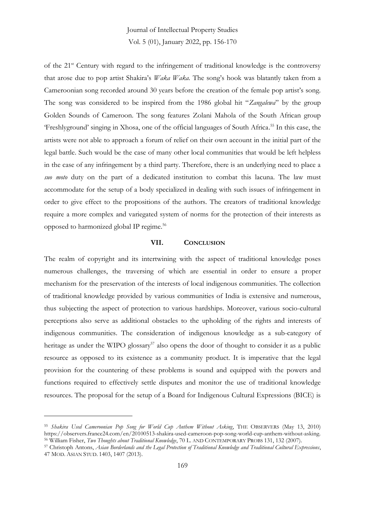of the 21st Century with regard to the infringement of traditional knowledge is the controversy that arose due to pop artist Shakira's *Waka Waka.* The song's hook was blatantly taken from a Cameroonian song recorded around 30 years before the creation of the female pop artist's song. The song was considered to be inspired from the 1986 global hit "*Zangalewa*" by the group Golden Sounds of Cameroon. The song features Zolani Mahola of the South African group 'Freshlyground' singing in Xhosa, one of the official languages of South Africa. <sup>55</sup> In this case, the artists were not able to approach a forum of relief on their own account in the initial part of the legal battle. Such would be the case of many other local communities that would be left helpless in the case of any infringement by a third party. Therefore, there is an underlying need to place a *suo moto* duty on the part of a dedicated institution to combat this lacuna. The law must accommodate for the setup of a body specialized in dealing with such issues of infringement in order to give effect to the propositions of the authors. The creators of traditional knowledge require a more complex and variegated system of norms for the protection of their interests as opposed to harmonized global IP regime. 56

#### **VII. CONCLUSION**

The realm of copyright and its intertwining with the aspect of traditional knowledge poses numerous challenges, the traversing of which are essential in order to ensure a proper mechanism for the preservation of the interests of local indigenous communities. The collection of traditional knowledge provided by various communities of India is extensive and numerous, thus subjecting the aspect of protection to various hardships. Moreover, various socio-cultural perceptions also serve as additional obstacles to the upholding of the rights and interests of indigenous communities. The consideration of indigenous knowledge as a sub-category of heritage as under the WIPO glossary<sup>57</sup> also opens the door of thought to consider it as a public resource as opposed to its existence as a community product. It is imperative that the legal provision for the countering of these problems is sound and equipped with the powers and functions required to effectively settle disputes and monitor the use of traditional knowledge resources. The proposal for the setup of a Board for Indigenous Cultural Expressions (BICE) is

<sup>55</sup> *Shakira Used Cameroonian Pop Song for World Cup Anthem Without Asking*, THE OBSERVERS (May 13, 2010) https://observers.france24.com/en/20100513-shakira-used-cameroon-pop-song-world-cup-anthem-without-asking. <sup>56</sup> William Fisher, *Two Thoughts about Traditional Knowledge*, 70 L. AND CONTEMPORARY PROBS 131, 132 (2007).

<sup>57</sup> Christoph Antons, *Asian Borderlands and the Legal Protection of Traditional Knowledge and Traditional Cultural Expressions*, 47 MOD. ASIAN STUD. 1403, 1407 (2013).